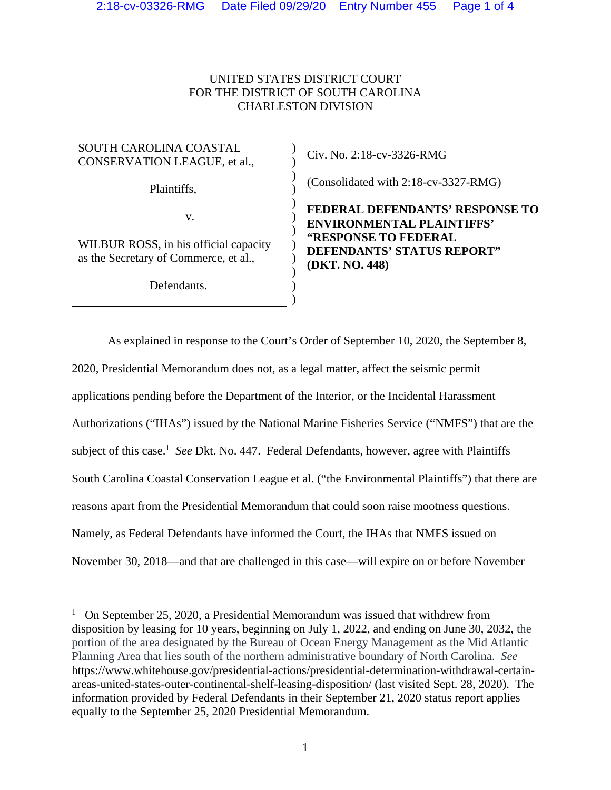## UNITED STATES DISTRICT COURT FOR THE DISTRICT OF SOUTH CAROLINA CHARLESTON DIVISION

 $\overline{)}$ ) ) ) )  $\overline{)}$ ) ) ) )  $\overline{)}$ )

## SOUTH CAROLINA COASTAL CONSERVATION LEAGUE, et al.,

Plaintiffs,

v.

WILBUR ROSS, in his official capacity as the Secretary of Commerce, et al.,

Defendants.

Civ. No. 2:18-cv-3326-RMG

(Consolidated with 2:18-cv-3327-RMG)

**FEDERAL DEFENDANTS' RESPONSE TO ENVIRONMENTAL PLAINTIFFS' "RESPONSE TO FEDERAL DEFENDANTS' STATUS REPORT" (DKT. NO. 448)** 

As explained in response to the Court's Order of September 10, 2020, the September 8, 2020, Presidential Memorandum does not, as a legal matter, affect the seismic permit applications pending before the Department of the Interior, or the Incidental Harassment Authorizations ("IHAs") issued by the National Marine Fisheries Service ("NMFS") that are the subject of this case.<sup>1</sup> See Dkt. No. 447. Federal Defendants, however, agree with Plaintiffs South Carolina Coastal Conservation League et al. ("the Environmental Plaintiffs") that there are reasons apart from the Presidential Memorandum that could soon raise mootness questions. Namely, as Federal Defendants have informed the Court, the IHAs that NMFS issued on November 30, 2018—and that are challenged in this case—will expire on or before November

<sup>&</sup>lt;sup>1</sup> On September 25, 2020, a Presidential Memorandum was issued that withdrew from disposition by leasing for 10 years, beginning on July 1, 2022, and ending on June 30, 2032, the portion of the area designated by the Bureau of Ocean Energy Management as the Mid Atlantic Planning Area that lies south of the northern administrative boundary of North Carolina. *See* https://www.whitehouse.gov/presidential-actions/presidential-determination-withdrawal-certainareas-united-states-outer-continental-shelf-leasing-disposition/ (last visited Sept. 28, 2020). The information provided by Federal Defendants in their September 21, 2020 status report applies equally to the September 25, 2020 Presidential Memorandum.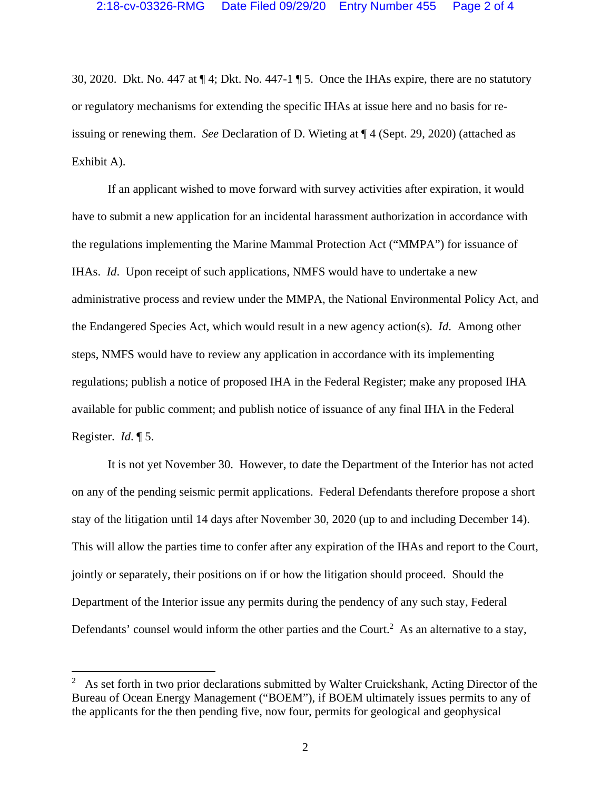30, 2020. Dkt. No. 447 at ¶ 4; Dkt. No. 447-1 ¶ 5. Once the IHAs expire, there are no statutory or regulatory mechanisms for extending the specific IHAs at issue here and no basis for reissuing or renewing them. *See* Declaration of D. Wieting at ¶ 4 (Sept. 29, 2020) (attached as Exhibit A).

If an applicant wished to move forward with survey activities after expiration, it would have to submit a new application for an incidental harassment authorization in accordance with the regulations implementing the Marine Mammal Protection Act ("MMPA") for issuance of IHAs. *Id*. Upon receipt of such applications, NMFS would have to undertake a new administrative process and review under the MMPA, the National Environmental Policy Act, and the Endangered Species Act, which would result in a new agency action(s). *Id*. Among other steps, NMFS would have to review any application in accordance with its implementing regulations; publish a notice of proposed IHA in the Federal Register; make any proposed IHA available for public comment; and publish notice of issuance of any final IHA in the Federal Register. *Id*. ¶ 5.

It is not yet November 30. However, to date the Department of the Interior has not acted on any of the pending seismic permit applications. Federal Defendants therefore propose a short stay of the litigation until 14 days after November 30, 2020 (up to and including December 14). This will allow the parties time to confer after any expiration of the IHAs and report to the Court, jointly or separately, their positions on if or how the litigation should proceed. Should the Department of the Interior issue any permits during the pendency of any such stay, Federal Defendants' counsel would inform the other parties and the Court.<sup>2</sup> As an alternative to a stay,

<sup>&</sup>lt;sup>2</sup> As set forth in two prior declarations submitted by Walter Cruickshank, Acting Director of the Bureau of Ocean Energy Management ("BOEM"), if BOEM ultimately issues permits to any of the applicants for the then pending five, now four, permits for geological and geophysical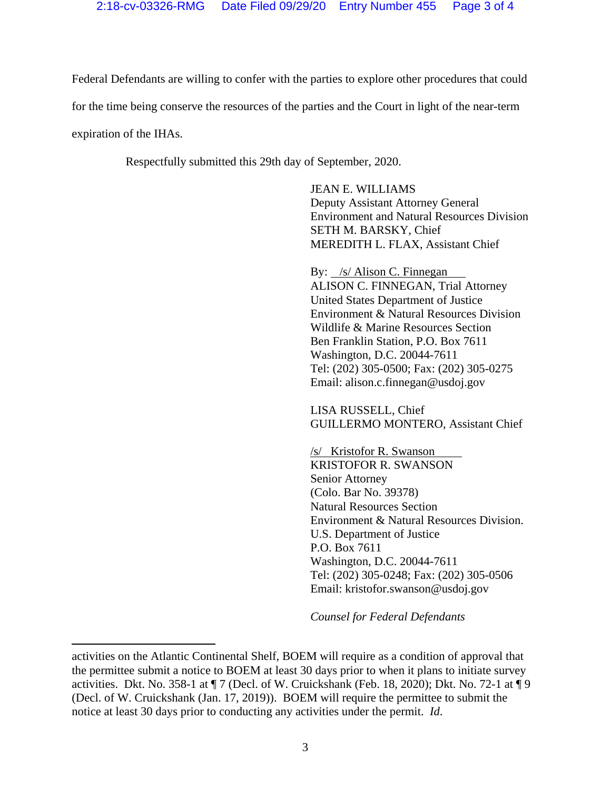Federal Defendants are willing to confer with the parties to explore other procedures that could for the time being conserve the resources of the parties and the Court in light of the near-term

expiration of the IHAs.

Respectfully submitted this 29th day of September, 2020.

 JEAN E. WILLIAMS Deputy Assistant Attorney General Environment and Natural Resources Division SETH M. BARSKY, Chief MEREDITH L. FLAX, Assistant Chief

By: /s/ Alison C. Finnegan ALISON C. FINNEGAN, Trial Attorney United States Department of Justice Environment & Natural Resources Division Wildlife & Marine Resources Section Ben Franklin Station, P.O. Box 7611 Washington, D.C. 20044-7611 Tel: (202) 305-0500; Fax: (202) 305-0275 Email: alison.c.finnegan@usdoj.gov

LISA RUSSELL, Chief GUILLERMO MONTERO, Assistant Chief

/s/ Kristofor R. Swanson KRISTOFOR R. SWANSON Senior Attorney (Colo. Bar No. 39378) Natural Resources Section Environment & Natural Resources Division. U.S. Department of Justice P.O. Box 7611 Washington, D.C. 20044-7611 Tel: (202) 305-0248; Fax: (202) 305-0506 Email: kristofor.swanson@usdoj.gov

*Counsel for Federal Defendants*

activities on the Atlantic Continental Shelf, BOEM will require as a condition of approval that the permittee submit a notice to BOEM at least 30 days prior to when it plans to initiate survey activities. Dkt. No. 358-1 at ¶ 7 (Decl. of W. Cruickshank (Feb. 18, 2020); Dkt. No. 72-1 at ¶ 9 (Decl. of W. Cruickshank (Jan. 17, 2019)). BOEM will require the permittee to submit the notice at least 30 days prior to conducting any activities under the permit. *Id*.